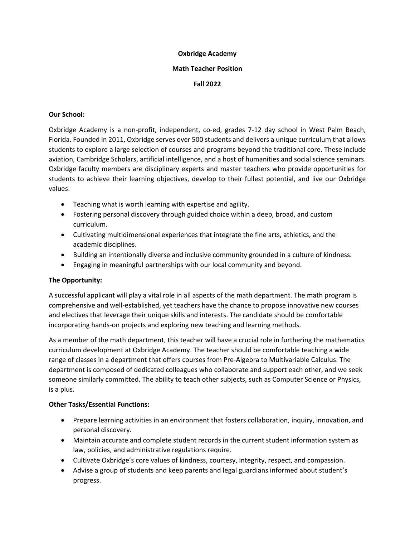#### **Oxbridge Academy**

#### **Math Teacher Position**

## **Fall 2022**

## **Our School:**

Oxbridge Academy is a non-profit, independent, co-ed, grades 7-12 day school in West Palm Beach, Florida. Founded in 2011, Oxbridge serves over 500 students and delivers a unique curriculum that allows students to explore a large selection of courses and programs beyond the traditional core. These include aviation, Cambridge Scholars, artificial intelligence, and a host of humanities and social science seminars. Oxbridge faculty members are disciplinary experts and master teachers who provide opportunities for students to achieve their learning objectives, develop to their fullest potential, and live our Oxbridge values:

- Teaching what is worth learning with expertise and agility.
- Fostering personal discovery through guided choice within a deep, broad, and custom curriculum.
- Cultivating multidimensional experiences that integrate the fine arts, athletics, and the academic disciplines.
- Building an intentionally diverse and inclusive community grounded in a culture of kindness.
- Engaging in meaningful partnerships with our local community and beyond.

## **The Opportunity:**

A successful applicant will play a vital role in all aspects of the math department. The math program is comprehensive and well-established, yet teachers have the chance to propose innovative new courses and electives that leverage their unique skills and interests. The candidate should be comfortable incorporating hands-on projects and exploring new teaching and learning methods.

As a member of the math department, this teacher will have a crucial role in furthering the mathematics curriculum development at Oxbridge Academy. The teacher should be comfortable teaching a wide range of classes in a department that offers courses from Pre-Algebra to Multivariable Calculus. The department is composed of dedicated colleagues who collaborate and support each other, and we seek someone similarly committed. The ability to teach other subjects, such as Computer Science or Physics, is a plus.

## **Other Tasks/Essential Functions:**

- Prepare learning activities in an environment that fosters collaboration, inquiry, innovation, and personal discovery.
- Maintain accurate and complete student records in the current student information system as law, policies, and administrative regulations require.
- Cultivate Oxbridge's core values of kindness, courtesy, integrity, respect, and compassion.
- Advise a group of students and keep parents and legal guardians informed about student's progress.